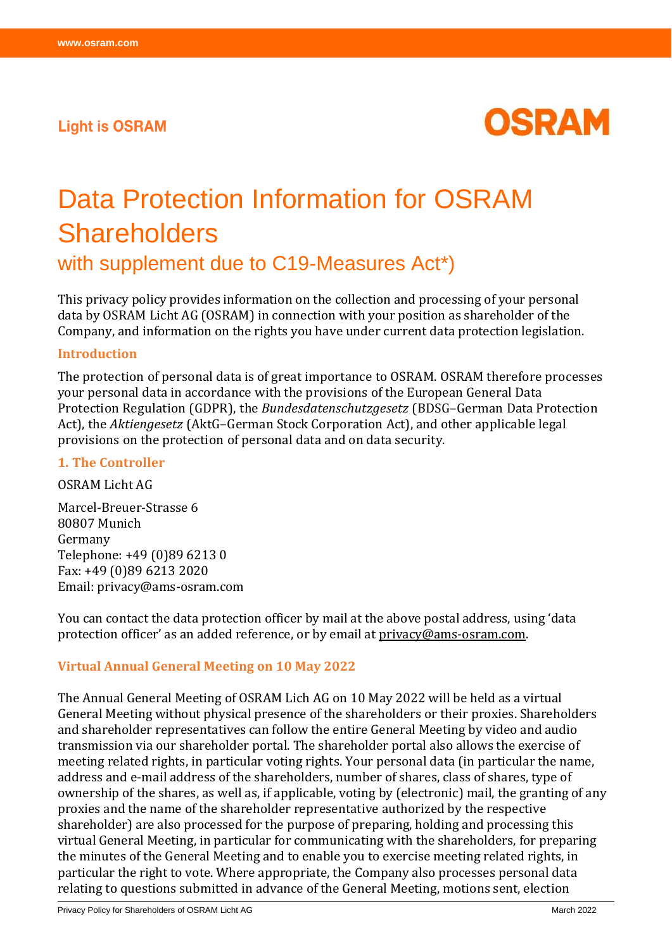## **Light is OSRAM**



# Data Protection Information for OSRAM **Shareholders**

with supplement due to C19-Measures Act\*)

This privacy policy provides information on the collection and processing of your personal data by OSRAM Licht AG (OSRAM) in connection with your position as shareholder of the Company, and information on the rights you have under current data protection legislation.

#### **Introduction**

The protection of personal data is of great importance to OSRAM. OSRAM therefore processes your personal data in accordance with the provisions of the European General Data Protection Regulation (GDPR), the *Bundesdatenschutzgesetz* (BDSG–German Data Protection Act), the *Aktiengesetz* (AktG–German Stock Corporation Act), and other applicable legal provisions on the protection of personal data and on data security.

#### **1. The Controller**

OSRAM Licht AG

Marcel-Breuer-Strasse 6 80807 Munich Germany Telephone: +49 (0)89 6213 0 Fax: +49 (0)89 6213 2020 Email: privacy@ams-osram.com

You can contact the data protection officer by mail at the above postal address, using 'data protection officer' as an added reference, or by email at privacy@ams-osram.com.

#### **Virtual Annual General Meeting on 10 May 2022**

The Annual General Meeting of OSRAM Lich AG on 10 May 2022 will be held as a virtual General Meeting without physical presence of the shareholders or their proxies. Shareholders and shareholder representatives can follow the entire General Meeting by video and audio transmission via our shareholder portal. The shareholder portal also allows the exercise of meeting related rights, in particular voting rights. Your personal data (in particular the name, address and e-mail address of the shareholders, number of shares, class of shares, type of ownership of the shares, as well as, if applicable, voting by (electronic) mail, the granting of any proxies and the name of the shareholder representative authorized by the respective shareholder) are also processed for the purpose of preparing, holding and processing this virtual General Meeting, in particular for communicating with the shareholders, for preparing the minutes of the General Meeting and to enable you to exercise meeting related rights, in particular the right to vote. Where appropriate, the Company also processes personal data relating to questions submitted in advance of the General Meeting, motions sent, election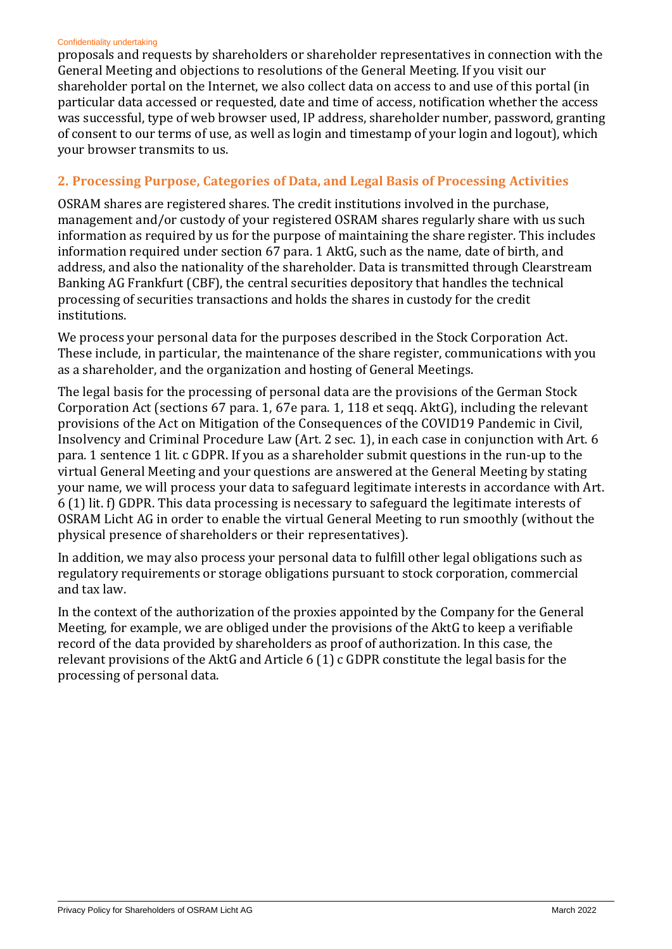#### Confidentiality undertaking

proposals and requests by shareholders or shareholder representatives in connection with the General Meeting and objections to resolutions of the General Meeting. If you visit our shareholder portal on the Internet, we also collect data on access to and use of this portal (in particular data accessed or requested, date and time of access, notification whether the access was successful, type of web browser used, IP address, shareholder number, password, granting of consent to our terms of use, as well as login and timestamp of your login and logout), which your browser transmits to us.

## **2. Processing Purpose, Categories of Data, and Legal Basis of Processing Activities**

OSRAM shares are registered shares. The credit institutions involved in the purchase, management and/or custody of your registered OSRAM shares regularly share with us such information as required by us for the purpose of maintaining the share register. This includes information required under section 67 para. 1 AktG, such as the name, date of birth, and address, and also the nationality of the shareholder. Data is transmitted through Clearstream Banking AG Frankfurt (CBF), the central securities depository that handles the technical processing of securities transactions and holds the shares in custody for the credit institutions.

We process your personal data for the purposes described in the Stock Corporation Act. These include, in particular, the maintenance of the share register, communications with you as a shareholder, and the organization and hosting of General Meetings.

The legal basis for the processing of personal data are the provisions of the German Stock Corporation Act (sections 67 para. 1, 67e para. 1, 118 et seqq. AktG), including the relevant provisions of the Act on Mitigation of the Consequences of the COVID19 Pandemic in Civil, Insolvency and Criminal Procedure Law (Art. 2 sec. 1), in each case in conjunction with Art. 6 para. 1 sentence 1 lit. c GDPR. If you as a shareholder submit questions in the run-up to the virtual General Meeting and your questions are answered at the General Meeting by stating your name, we will process your data to safeguard legitimate interests in accordance with Art. 6 (1) lit. f) GDPR. This data processing is necessary to safeguard the legitimate interests of OSRAM Licht AG in order to enable the virtual General Meeting to run smoothly (without the physical presence of shareholders or their representatives).

In addition, we may also process your personal data to fulfill other legal obligations such as regulatory requirements or storage obligations pursuant to stock corporation, commercial and tax law.

In the context of the authorization of the proxies appointed by the Company for the General Meeting, for example, we are obliged under the provisions of the AktG to keep a verifiable record of the data provided by shareholders as proof of authorization. In this case, the relevant provisions of the AktG and Article 6 (1) c GDPR constitute the legal basis for the processing of personal data.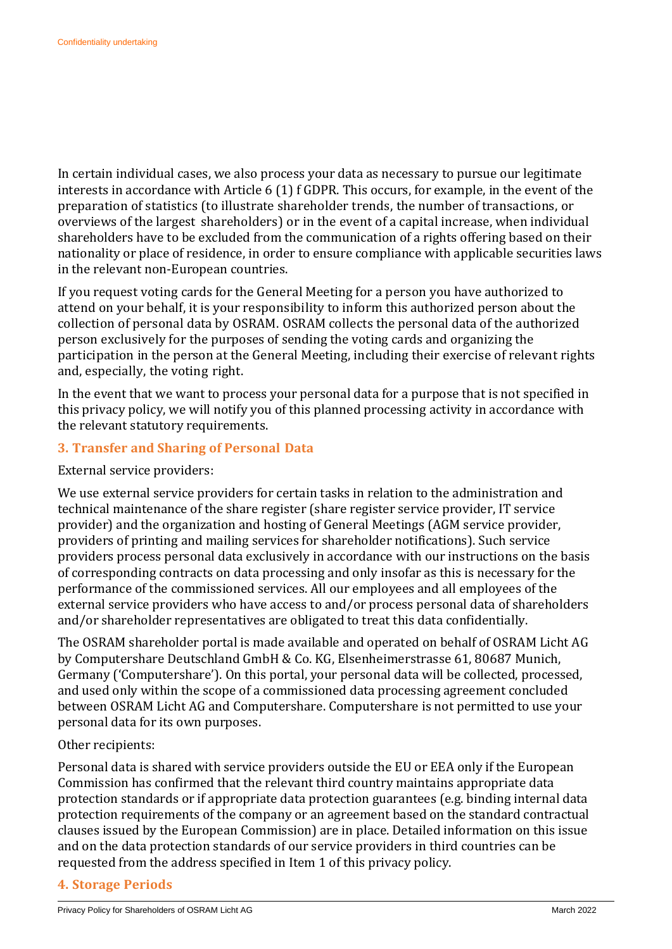In certain individual cases, we also process your data as necessary to pursue our legitimate interests in accordance with Article 6 (1) f GDPR. This occurs, for example, in the event of the preparation of statistics (to illustrate shareholder trends, the number of transactions, or overviews of the largest shareholders) or in the event of a capital increase, when individual shareholders have to be excluded from the communication of a rights offering based on their nationality or place of residence, in order to ensure compliance with applicable securities laws in the relevant non-European countries.

If you request voting cards for the General Meeting for a person you have authorized to attend on your behalf, it is your responsibility to inform this authorized person about the collection of personal data by OSRAM. OSRAM collects the personal data of the authorized person exclusively for the purposes of sending the voting cards and organizing the participation in the person at the General Meeting, including their exercise of relevant rights and, especially, the voting right.

In the event that we want to process your personal data for a purpose that is not specified in this privacy policy, we will notify you of this planned processing activity in accordance with the relevant statutory requirements.

## **3. Transfer and Sharing of Personal Data**

#### External service providers:

We use external service providers for certain tasks in relation to the administration and technical maintenance of the share register (share register service provider, IT service provider) and the organization and hosting of General Meetings (AGM service provider, providers of printing and mailing services for shareholder notifications). Such service providers process personal data exclusively in accordance with our instructions on the basis of corresponding contracts on data processing and only insofar as this is necessary for the performance of the commissioned services. All our employees and all employees of the external service providers who have access to and/or process personal data of shareholders and/or shareholder representatives are obligated to treat this data confidentially.

The OSRAM shareholder portal is made available and operated on behalf of OSRAM Licht AG by Computershare Deutschland GmbH & Co. KG, Elsenheimerstrasse 61, 80687 Munich, Germany ('Computershare'). On this portal, your personal data will be collected, processed, and used only within the scope of a commissioned data processing agreement concluded between OSRAM Licht AG and Computershare. Computershare is not permitted to use your personal data for its own purposes.

#### Other recipients:

Personal data is shared with service providers outside the EU or EEA only if the European Commission has confirmed that the relevant third country maintains appropriate data protection standards or if appropriate data protection guarantees (e.g. binding internal data protection requirements of the company or an agreement based on the standard contractual clauses issued by the European Commission) are in place. Detailed information on this issue and on the data protection standards of our service providers in third countries can be requested from the address specified in Item 1 of this privacy policy.

#### **4. Storage Periods**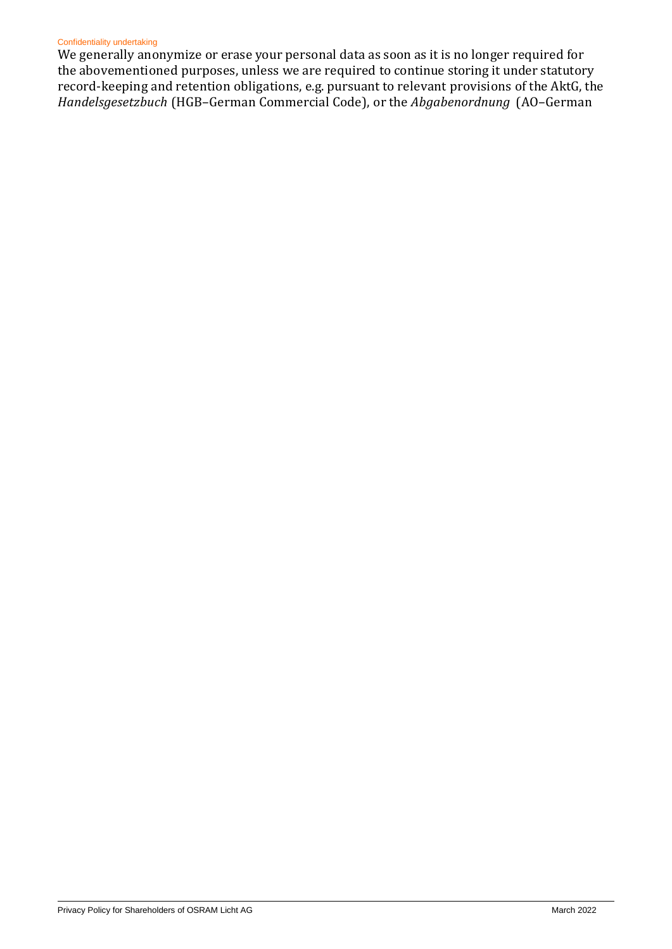#### Confidentiality undertaking

We generally anonymize or erase your personal data as soon as it is no longer required for the abovementioned purposes, unless we are required to continue storing it under statutory record-keeping and retention obligations, e.g. pursuant to relevant provisions of the AktG, the *Handelsgesetzbuch* (HGB–German Commercial Code), or the *Abgabenordnung* (AO–German